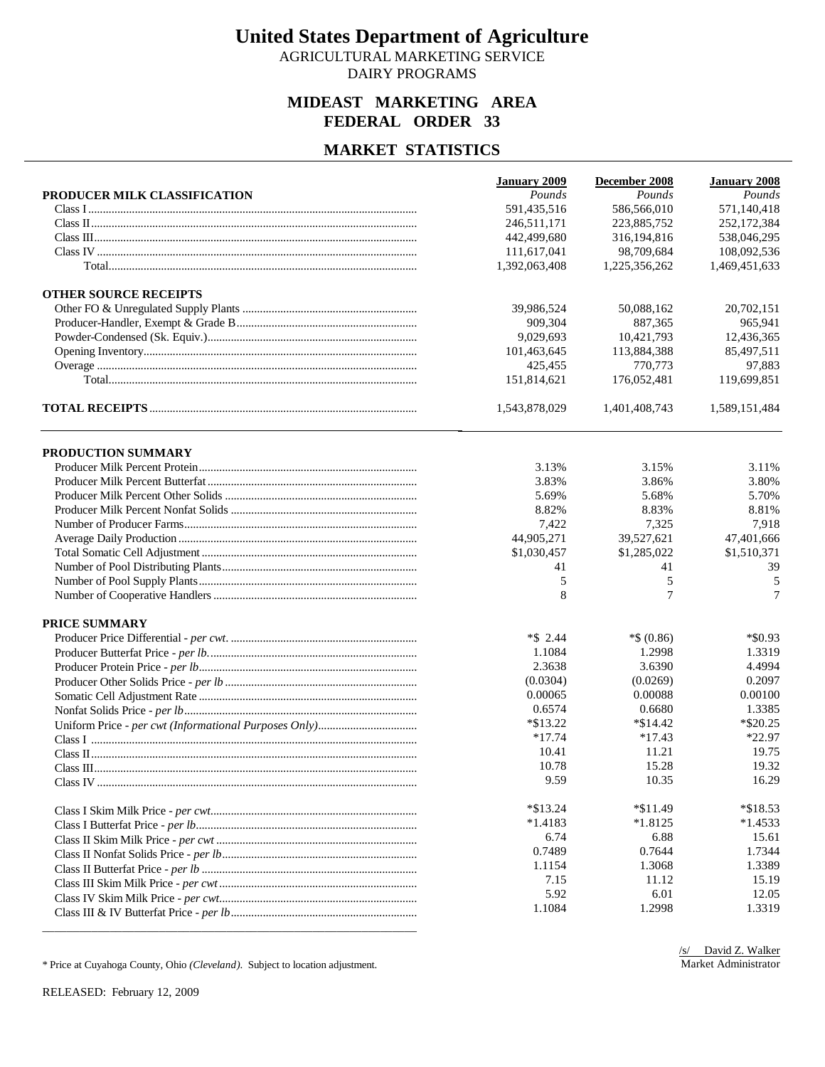AGRICULTURAL MARKETING SERVICE DAIRY PROGRAMS

### **MIDEAST MARKETING AREA FEDERAL ORDER 33**

### **MARKET STATISTICS**

|                              | <b>January 2009</b> | December 2008 | January 2008  |
|------------------------------|---------------------|---------------|---------------|
| PRODUCER MILK CLASSIFICATION | Pounds              | Pounds        | Pounds        |
|                              | 591,435,516         | 586,566,010   | 571,140,418   |
|                              | 246.511.171         | 223,885,752   | 252,172,384   |
|                              | 442,499,680         | 316,194,816   | 538,046,295   |
|                              | 111,617,041         | 98,709,684    | 108,092,536   |
|                              | 1,392,063,408       | 1,225,356,262 | 1,469,451,633 |
| <b>OTHER SOURCE RECEIPTS</b> |                     |               |               |
|                              | 39,986,524          | 50,088,162    | 20,702,151    |
|                              | 909,304             | 887,365       | 965,941       |
|                              | 9.029.693           | 10,421,793    | 12,436,365    |
|                              | 101,463,645         | 113,884,388   | 85,497,511    |
|                              | 425,455             | 770,773       | 97,883        |
|                              | 151,814,621         | 176,052,481   | 119,699,851   |
|                              | 1,543,878,029       | 1,401,408,743 | 1,589,151,484 |
| PRODUCTION SUMMARY           |                     |               |               |
|                              | 3.13%               | 3.15%         | 3.11%         |
|                              | 3.83%               | 3.86%         | 3.80%         |
|                              | 5.69%               | 5.68%         | 5.70%         |
|                              | 8.82%               | 8.83%         | 8.81%         |
|                              | 7,422               | 7,325         | 7,918         |
|                              | 44,905,271          | 39,527,621    | 47,401,666    |
|                              | \$1,030,457         | \$1,285,022   | \$1,510,371   |
|                              | 41                  | 41            | 39            |
|                              | 5                   | 5             | 5             |
|                              | 8                   | $\tau$        | 7             |
| <b>PRICE SUMMARY</b>         |                     |               |               |
|                              | $*$ \$ 2.44         | $*$ \$ (0.86) | *\$0.93       |
|                              | 1.1084              | 1.2998        | 1.3319        |
|                              | 2.3638              | 3.6390        | 4.4994        |
|                              | (0.0304)            | (0.0269)      | 0.2097        |
|                              | 0.00065             | 0.00088       | 0.00100       |
|                              | 0.6574              | 0.6680        | 1.3385        |
|                              | $*$ \$13.22         | $*\$14.42$    | $*$ \$20.25   |
|                              | $*17.74$            | $*17.43$      | *22.97        |
|                              | 10.41               | 11.21         | 19.75         |
|                              | 10.78               | 15.28         | 19.32         |
|                              | 9.59                | 10.35         | 16.29         |
|                              | $*\$13.24$          | $*11.49$      | $*$ \$18.53   |
|                              | $*1.4183$           | $*1.8125$     | $*1.4533$     |
|                              | 6.74                | 6.88          | 15.61         |
|                              | 0.7489              | 0.7644        | 1.7344        |
|                              | 1.1154              | 1.3068        | 1.3389        |
|                              | 7.15                | 11.12         | 15.19         |
|                              | 5.92                | 6.01          | 12.05         |
|                              | 1.1084              | 1.2998        | 1.3319        |
|                              |                     |               |               |

\* Price at Cuyahoga County, Ohio *(Cleveland)*. Subject to location adjustment.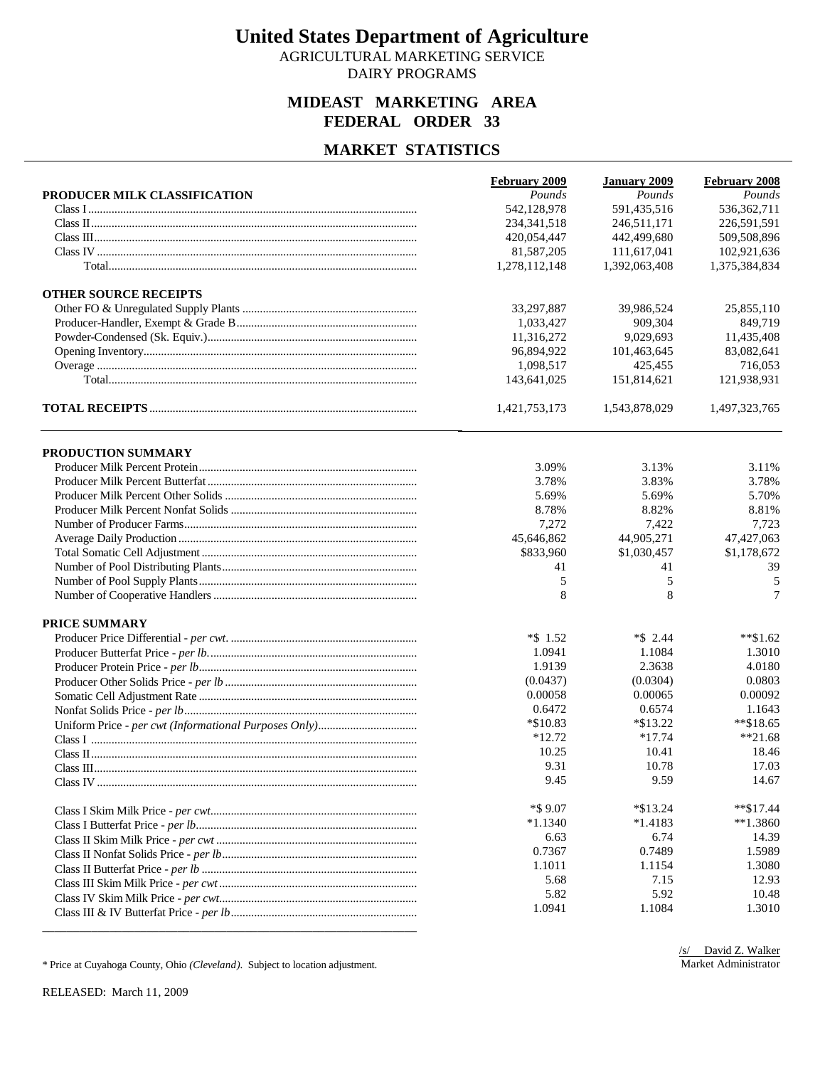AGRICULTURAL MARKETING SERVICE DAIRY PROGRAMS

### **MIDEAST MARKETING AREA FEDERAL ORDER 33**

### **MARKET STATISTICS**

|                              | February 2009 | <b>January 2009</b> | <b>February 2008</b> |
|------------------------------|---------------|---------------------|----------------------|
| PRODUCER MILK CLASSIFICATION | Pounds        | Pounds              | Pounds               |
|                              | 542,128,978   | 591,435,516         | 536, 362, 711        |
|                              | 234, 341, 518 | 246,511,171         | 226,591,591          |
|                              | 420,054,447   | 442,499,680         | 509,508,896          |
|                              | 81,587,205    | 111,617,041         | 102,921,636          |
|                              | 1,278,112,148 | 1,392,063,408       | 1,375,384,834        |
| <b>OTHER SOURCE RECEIPTS</b> |               |                     |                      |
|                              | 33,297,887    | 39.986.524          | 25,855,110           |
|                              | 1,033,427     | 909,304             | 849,719              |
|                              | 11,316,272    | 9,029,693           | 11,435,408           |
|                              | 96,894,922    | 101,463,645         | 83,082,641           |
|                              | 1,098,517     | 425,455             | 716,053              |
|                              | 143,641,025   | 151,814,621         | 121,938,931          |
|                              | 1,421,753,173 | 1,543,878,029       | 1,497,323,765        |
| PRODUCTION SUMMARY           |               |                     |                      |
|                              | 3.09%         | 3.13%               | 3.11%                |
|                              | 3.78%         | 3.83%               | 3.78%                |
|                              | 5.69%         | 5.69%               | 5.70%                |
|                              | 8.78%         | 8.82%               | 8.81%                |
|                              | 7,272         | 7,422               | 7,723                |
|                              | 45,646,862    | 44,905,271          | 47, 427, 063         |
|                              | \$833,960     | \$1,030,457         | \$1,178,672          |
|                              | 41            | 41                  | 39                   |
|                              | 5             | 5                   | 5                    |
|                              | 8             | 8                   | 7                    |
| <b>PRICE SUMMARY</b>         |               |                     |                      |
|                              | $*$ \$ 1.52   | $*$ \$ 2.44         | $*$ \$1.62           |
|                              | 1.0941        | 1.1084              | 1.3010               |
|                              | 1.9139        | 2.3638              | 4.0180               |
|                              | (0.0437)      | (0.0304)            | 0.0803               |
|                              | 0.00058       | 0.00065             | 0.00092              |
|                              | 0.6472        | 0.6574              | 1.1643               |
|                              | $*$ \$10.83   | $*\$13.22$          | $*$ \$18.65          |
|                              | $*12.72$      | $*17.74$            | $**21.68$            |
|                              | 10.25         | 10.41               | 18.46                |
|                              | 9.31          | 10.78               | 17.03                |
|                              | 9.45          | 9.59                | 14.67                |
|                              | $*$ \$9.07    | $*\$13.24$          | $*$ \$17.44          |
|                              | $*1.1340$     | $*1.4183$           | $**1.3860$           |
|                              | 6.63          | 6.74                | 14.39                |
|                              | 0.7367        | 0.7489              | 1.5989               |
|                              | 1.1011        | 1.1154              | 1.3080               |
|                              | 5.68          | 7.15                | 12.93                |
|                              | 5.82          | 5.92                | 10.48                |
|                              | 1.0941        | 1.1084              | 1.3010               |
|                              |               |                     |                      |

\* Price at Cuyahoga County, Ohio *(Cleveland)*. Subject to location adjustment.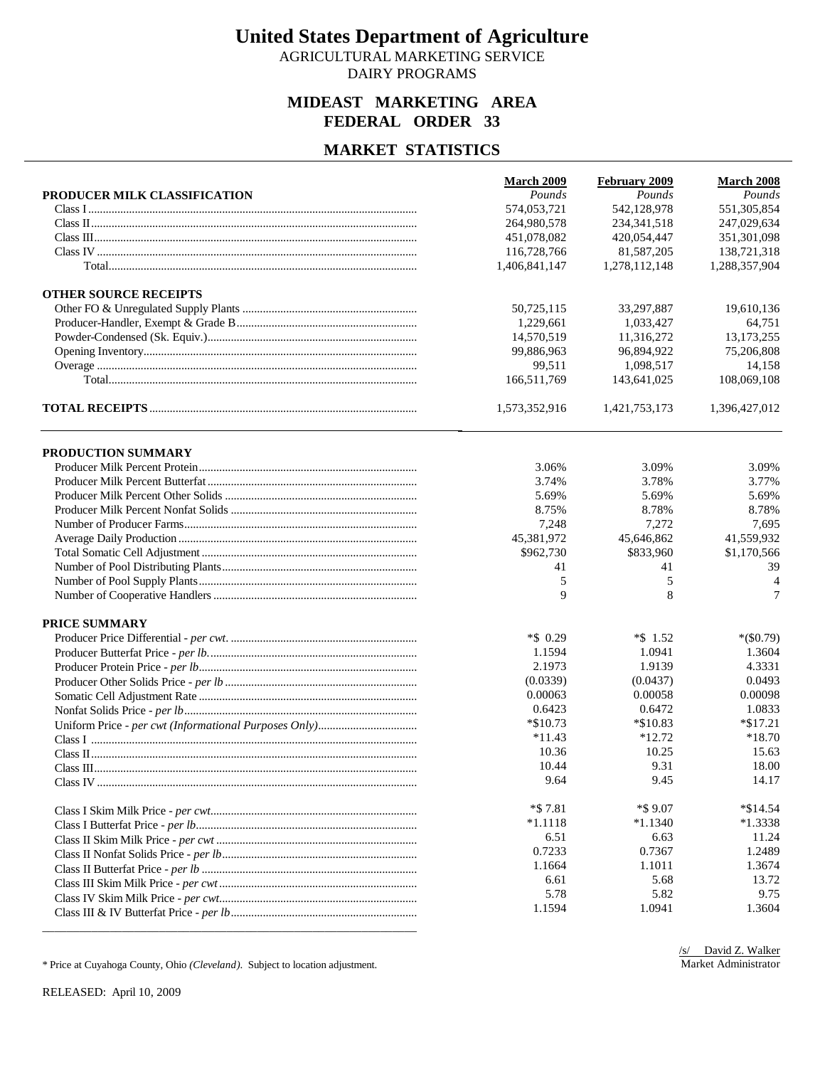AGRICULTURAL MARKETING SERVICE DAIRY PROGRAMS

### **MIDEAST MARKETING AREA FEDERAL ORDER 33**

#### **MARKET STATISTICS**

|                              | March 2009    | February 2009 | March 2008    |
|------------------------------|---------------|---------------|---------------|
| PRODUCER MILK CLASSIFICATION | Pounds        | Pounds        | Pounds        |
|                              | 574,053,721   | 542,128,978   | 551,305,854   |
|                              | 264,980,578   | 234, 341, 518 | 247,029,634   |
|                              | 451,078,082   | 420,054,447   | 351,301,098   |
|                              | 116,728,766   | 81,587,205    | 138,721,318   |
|                              | 1,406,841,147 | 1,278,112,148 | 1,288,357,904 |
| <b>OTHER SOURCE RECEIPTS</b> |               |               |               |
|                              | 50,725,115    | 33,297,887    | 19,610,136    |
|                              | 1,229,661     | 1,033,427     | 64,751        |
|                              | 14,570,519    | 11,316,272    | 13, 173, 255  |
|                              | 99,886,963    | 96,894,922    | 75,206,808    |
|                              | 99,511        | 1,098,517     | 14,158        |
|                              | 166,511,769   | 143,641,025   | 108,069,108   |
|                              | 1,573,352,916 | 1,421,753,173 | 1,396,427,012 |
| PRODUCTION SUMMARY           |               |               |               |
|                              | 3.06%         | 3.09%         | 3.09%         |
|                              | 3.74%         | 3.78%         | 3.77%         |
|                              | 5.69%         | 5.69%         | 5.69%         |
|                              | 8.75%         | 8.78%         | 8.78%         |
|                              | 7,248         | 7,272         | 7,695         |
|                              | 45,381,972    | 45,646,862    | 41,559,932    |
|                              | \$962,730     | \$833,960     | \$1,170,566   |
|                              | 41            | 41            | 39            |
|                              | 5             | 5             | 4             |
|                              | 9             | 8             | 7             |
| <b>PRICE SUMMARY</b>         |               |               |               |
|                              | $*$ \$ 0.29   | $*$ \$ 1.52   | $*(\$0.79)$   |
|                              | 1.1594        | 1.0941        | 1.3604        |
|                              | 2.1973        | 1.9139        | 4.3331        |
|                              | (0.0339)      | (0.0437)      | 0.0493        |
|                              | 0.00063       | 0.00058       | 0.00098       |
|                              | 0.6423        | 0.6472        | 1.0833        |
|                              | $*$ \$10.73   | $*$ \$10.83   | $*\$17.21$    |
|                              | $*11.43$      | $*12.72$      | *18.70        |
|                              | 10.36         | 10.25         | 15.63         |
|                              | 10.44         | 9.31          | 18.00         |
|                              | 9.64          | 9.45          | 14.17         |
|                              | $*$ \$7.81    | *\$9.07       | $*$ \$14.54   |
|                              | $*1.1118$     | $*1.1340$     | $*1.3338$     |
|                              | 6.51          | 6.63          | 11.24         |
|                              | 0.7233        | 0.7367        | 1.2489        |
|                              | 1.1664        | 1.1011        | 1.3674        |
|                              | 6.61          | 5.68          | 13.72         |
|                              | 5.78          | 5.82          | 9.75          |
|                              | 1.1594        | 1.0941        | 1.3604        |
|                              |               |               |               |

\* Price at Cuyahoga County, Ohio *(Cleveland)*. Subject to location adjustment.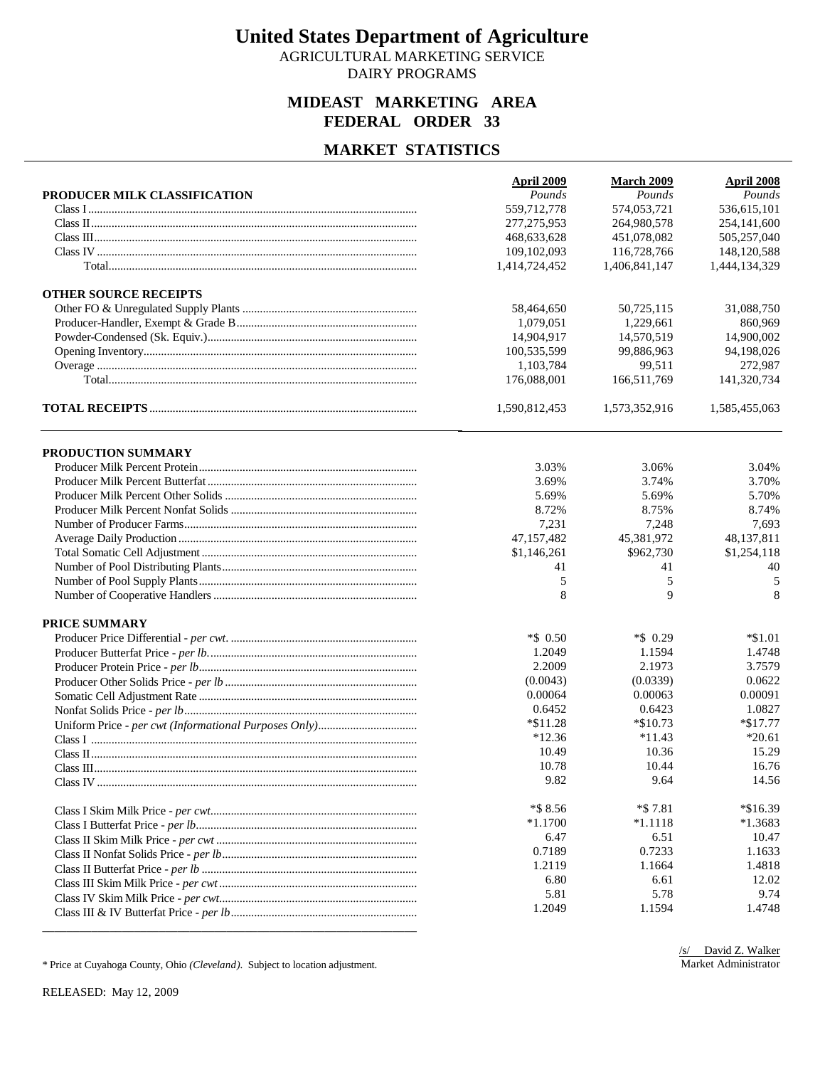AGRICULTURAL MARKETING SERVICE DAIRY PROGRAMS

### **MIDEAST MARKETING AREA FEDERAL ORDER 33**

### **MARKET STATISTICS**

|                              | April 2009    | <b>March 2009</b> | <b>April 2008</b> |
|------------------------------|---------------|-------------------|-------------------|
| PRODUCER MILK CLASSIFICATION | Pounds        | Pounds            | Pounds            |
|                              | 559,712,778   | 574,053,721       | 536,615,101       |
|                              | 277, 275, 953 | 264,980,578       | 254,141,600       |
|                              | 468,633,628   | 451,078,082       | 505,257,040       |
|                              | 109,102,093   | 116,728,766       | 148,120,588       |
|                              | 1,414,724,452 | 1,406,841,147     | 1,444,134,329     |
| <b>OTHER SOURCE RECEIPTS</b> |               |                   |                   |
|                              | 58,464,650    | 50,725,115        | 31,088,750        |
|                              | 1,079,051     | 1,229,661         | 860,969           |
|                              | 14,904,917    | 14.570.519        | 14,900,002        |
|                              | 100,535,599   | 99,886,963        | 94,198,026        |
|                              | 1,103,784     | 99,511            | 272,987           |
|                              | 176,088,001   | 166,511,769       | 141,320,734       |
|                              | 1,590,812,453 | 1,573,352,916     | 1,585,455,063     |
| PRODUCTION SUMMARY           |               |                   |                   |
|                              | 3.03%         | 3.06%             | 3.04%             |
|                              | 3.69%         | 3.74%             | 3.70%             |
|                              | 5.69%         | 5.69%             | 5.70%             |
|                              | 8.72%         | 8.75%             | 8.74%             |
|                              | 7,231         | 7,248             | 7,693             |
|                              | 47,157,482    | 45,381,972        | 48,137,811        |
|                              | \$1,146,261   | \$962,730         | \$1,254,118       |
|                              | 41            | 41                | 40                |
|                              | 5             | 5                 | 5                 |
|                              | 8             | 9                 | 8                 |
| <b>PRICE SUMMARY</b>         |               |                   |                   |
|                              | *\$ 0.50      | $*$ \$ 0.29       | $*\$1.01$         |
|                              | 1.2049        | 1.1594            | 1.4748            |
|                              | 2.2009        | 2.1973            | 3.7579            |
|                              | (0.0043)      | (0.0339)          | 0.0622            |
|                              | 0.00064       | 0.00063           | 0.00091           |
|                              | 0.6452        | 0.6423            | 1.0827            |
|                              | $*11.28$      | *\$10.73          | $*\$17.77$        |
|                              | $*12.36$      | $*11.43$          | $*20.61$          |
|                              | 10.49         | 10.36             | 15.29             |
|                              | 10.78         | 10.44             | 16.76             |
|                              | 9.82          | 9.64              | 14.56             |
|                              | $*$ \$ 8.56   | $*$ \$7.81        | $*\$16.39$        |
|                              | $*1.1700$     | $*1.1118$         | $*1.3683$         |
|                              | 6.47          | 6.51              | 10.47             |
|                              | 0.7189        | 0.7233            | 1.1633            |
|                              | 1.2119        | 1.1664            | 1.4818            |
|                              | 6.80          | 6.61              | 12.02             |
|                              | 5.81          | 5.78              | 9.74              |
|                              | 1.2049        | 1.1594            | 1.4748            |
|                              |               |                   |                   |

\* Price at Cuyahoga County, Ohio *(Cleveland)*. Subject to location adjustment.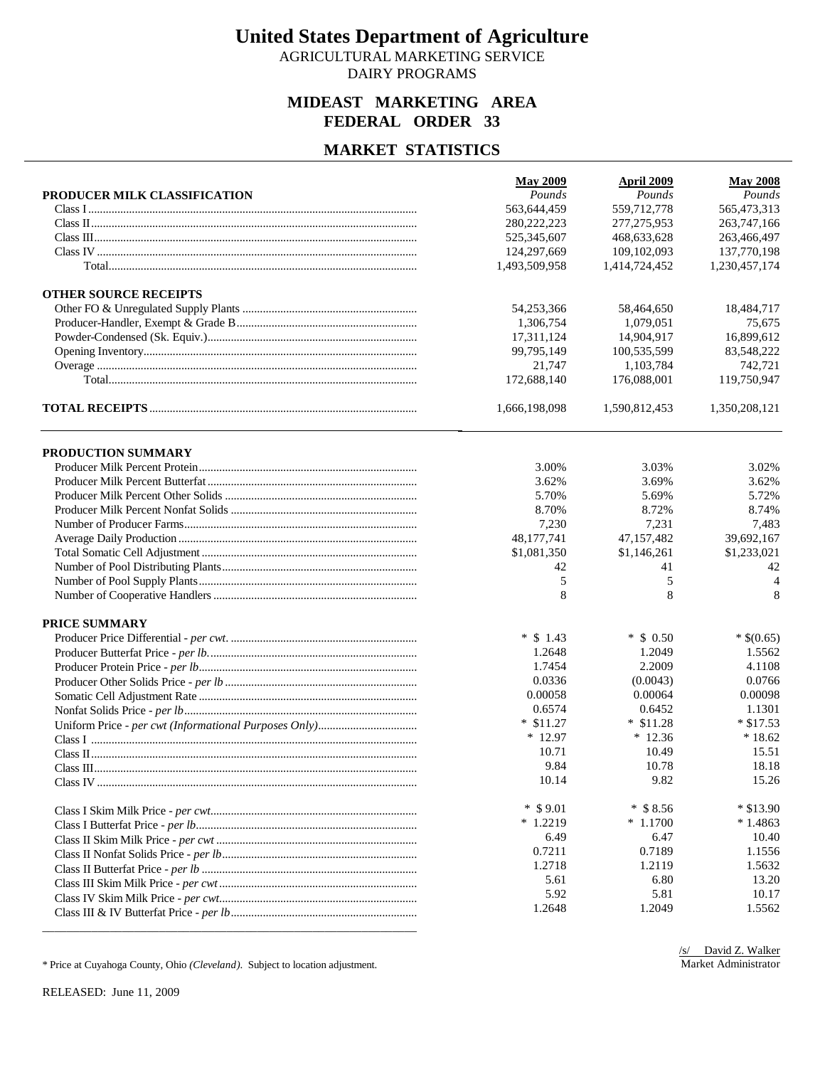AGRICULTURAL MARKETING SERVICE DAIRY PROGRAMS

### **MIDEAST MARKETING AREA FEDERAL ORDER 33**

#### **MARKET STATISTICS**

|                              | <b>May 2009</b> | April 2009    | <b>May 2008</b> |
|------------------------------|-----------------|---------------|-----------------|
| PRODUCER MILK CLASSIFICATION | Pounds          | Pounds        | Pounds          |
|                              | 563,644,459     | 559,712,778   | 565,473,313     |
|                              | 280, 222, 223   | 277, 275, 953 | 263,747,166     |
|                              | 525,345,607     | 468,633,628   | 263,466,497     |
|                              | 124,297,669     | 109,102,093   | 137,770,198     |
|                              | 1,493,509,958   | 1,414,724,452 | 1,230,457,174   |
| <b>OTHER SOURCE RECEIPTS</b> |                 |               |                 |
|                              | 54,253,366      | 58,464,650    | 18,484,717      |
|                              | 1,306,754       | 1,079,051     | 75,675          |
|                              | 17,311,124      | 14,904,917    | 16,899,612      |
|                              | 99,795,149      | 100,535,599   | 83,548,222      |
|                              | 21,747          | 1,103,784     | 742,721         |
|                              | 172,688,140     | 176,088,001   | 119,750,947     |
|                              | 1,666,198,098   | 1,590,812,453 | 1,350,208,121   |
| PRODUCTION SUMMARY           |                 |               |                 |
|                              | 3.00%           | 3.03%         | 3.02%           |
|                              | 3.62%           | 3.69%         | 3.62%           |
|                              | 5.70%           | 5.69%         | 5.72%           |
|                              | 8.70%           | 8.72%         | 8.74%           |
|                              | 7,230           | 7,231         | 7,483           |
|                              | 48,177,741      | 47,157,482    | 39,692,167      |
|                              | \$1,081,350     | \$1,146,261   | \$1,233,021     |
|                              | 42              | 41            | 42              |
|                              | 5               | 5             | $\overline{4}$  |
|                              | 8               | 8             | 8               |
| <b>PRICE SUMMARY</b>         |                 |               |                 |
|                              | $*$ \$ 1.43     | $*$ \$ 0.50   | $*$ \$(0.65)    |
|                              | 1.2648          | 1.2049        | 1.5562          |
|                              | 1.7454          | 2.2009        | 4.1108          |
|                              | 0.0336          | (0.0043)      | 0.0766          |
|                              | 0.00058         | 0.00064       | 0.00098         |
|                              | 0.6574          | 0.6452        | 1.1301          |
|                              | $*$ \$11.27     | $*$ \$11.28   | $*$ \$17.53     |
|                              | $*12.97$        | $*12.36$      | $*18.62$        |
|                              | 10.71           | 10.49         | 15.51           |
|                              | 9.84            | 10.78         | 18.18           |
|                              | 10.14           | 9.82          | 15.26           |
|                              | $*$ \$9.01      | $*$ \$8.56    | $*$ \$13.90     |
|                              | $*1.2219$       | $*1.1700$     | $*1.4863$       |
|                              | 6.49            | 6.47          | 10.40           |
|                              | 0.7211          | 0.7189        | 1.1556          |
|                              | 1.2718          | 1.2119        | 1.5632          |
|                              | 5.61            | 6.80          | 13.20           |
|                              | 5.92            | 5.81          | 10.17           |
|                              | 1.2648          | 1.2049        | 1.5562          |
|                              |                 |               |                 |

\* Price at Cuyahoga County, Ohio *(Cleveland)*. Subject to location adjustment.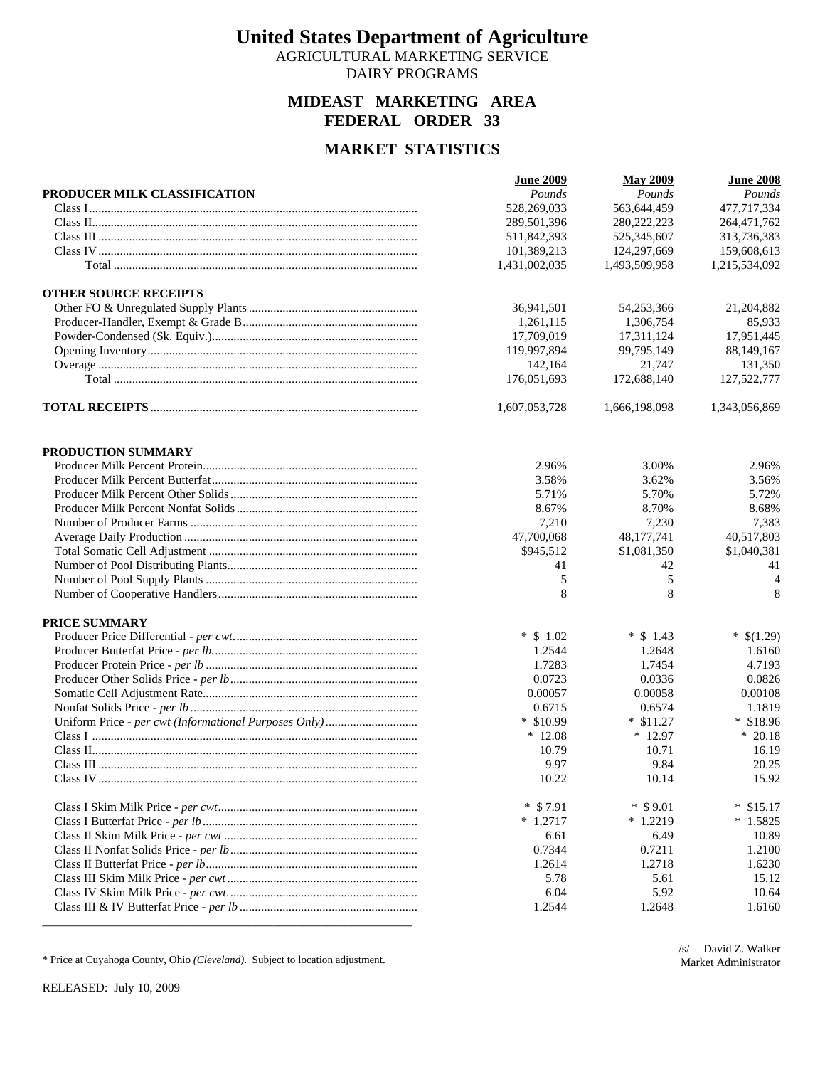AGRICULTURAL MARKETING SERVICE DAIRY PROGRAMS

### **MIDEAST MARKETING AREA FEDERAL ORDER 33**

## **MARKET STATISTICS**

|                              | <b>June 2009</b> | <b>May 2009</b> | <b>June 2008</b>  |
|------------------------------|------------------|-----------------|-------------------|
| PRODUCER MILK CLASSIFICATION | Pounds           | Pounds          | Pounds            |
|                              | 528,269,033      | 563,644,459     | 477,717,334       |
|                              | 289,501,396      | 280, 222, 223   | 264,471,762       |
|                              | 511,842,393      | 525,345,607     | 313,736,383       |
|                              | 101,389,213      | 124,297,669     | 159,608,613       |
|                              | 1,431,002,035    | 1,493,509,958   | 1,215,534,092     |
| <b>OTHER SOURCE RECEIPTS</b> |                  |                 |                   |
|                              | 36,941,501       | 54,253,366      | 21,204,882        |
|                              | 1,261,115        | 1,306,754       | 85,933            |
|                              | 17,709,019       | 17,311,124      | 17,951,445        |
|                              | 119,997,894      | 99,795,149      | 88,149,167        |
|                              | 142,164          | 21,747          | 131,350           |
|                              | 176,051,693      | 172,688,140     | 127,522,777       |
|                              | 1,607,053,728    | 1,666,198,098   | 1,343,056,869     |
| PRODUCTION SUMMARY           |                  |                 |                   |
|                              | 2.96%            | 3.00%           | 2.96%             |
|                              | 3.58%            | 3.62%           | 3.56%             |
|                              | 5.71%            | 5.70%           | 5.72%             |
|                              | 8.67%            | 8.70%           | 8.68%             |
|                              | 7,210            | 7,230           | 7,383             |
|                              | 47,700,068       | 48,177,741      | 40,517,803        |
|                              | \$945,512        | \$1,081,350     | \$1,040,381       |
|                              | 41               | 42              | 41                |
|                              | 5                | 5               | $\overline{4}$    |
|                              | 8                | 8               | 8                 |
| <b>PRICE SUMMARY</b>         |                  |                 |                   |
|                              | $*$ \$ 1.02      | $*$ \$ 1.43     | $*$ \$(1.29)      |
|                              | 1.2544           | 1.2648          | 1.6160            |
|                              | 1.7283           | 1.7454          | 4.7193            |
|                              | 0.0723           | 0.0336          | 0.0826            |
|                              | 0.00057          | 0.00058         | 0.00108           |
|                              | 0.6715           | 0.6574          | 1.1819            |
|                              | $*$ \$10.99      | $*$ \$11.27     | $*$ \$18.96       |
|                              | $*12.08$         | $*12.97$        | $*20.18$          |
|                              | 10.79            | 10.71           | 16.19             |
|                              | 9.97             | 9.84            | 20.25             |
|                              | 10.22            | 10.14           | 15.92             |
|                              | $*$ \$7.91       | $*$ \$9.01      | $\ast$<br>\$15.17 |
|                              | $* 1.2717$       | $*1.2219$       | $*1.5825$         |
|                              | 6.61             | 6.49            | 10.89             |
|                              | 0.7344           | 0.7211          | 1.2100            |
|                              | 1.2614           | 1.2718          | 1.6230            |
|                              | 5.78             | 5.61            | 15.12             |
|                              | 6.04             | 5.92            | 10.64             |
|                              | 1.2544           | 1.2648          | 1.6160            |

\* Price at Cuyahoga County, Ohio *(Cleveland)*. Subject to location adjustment.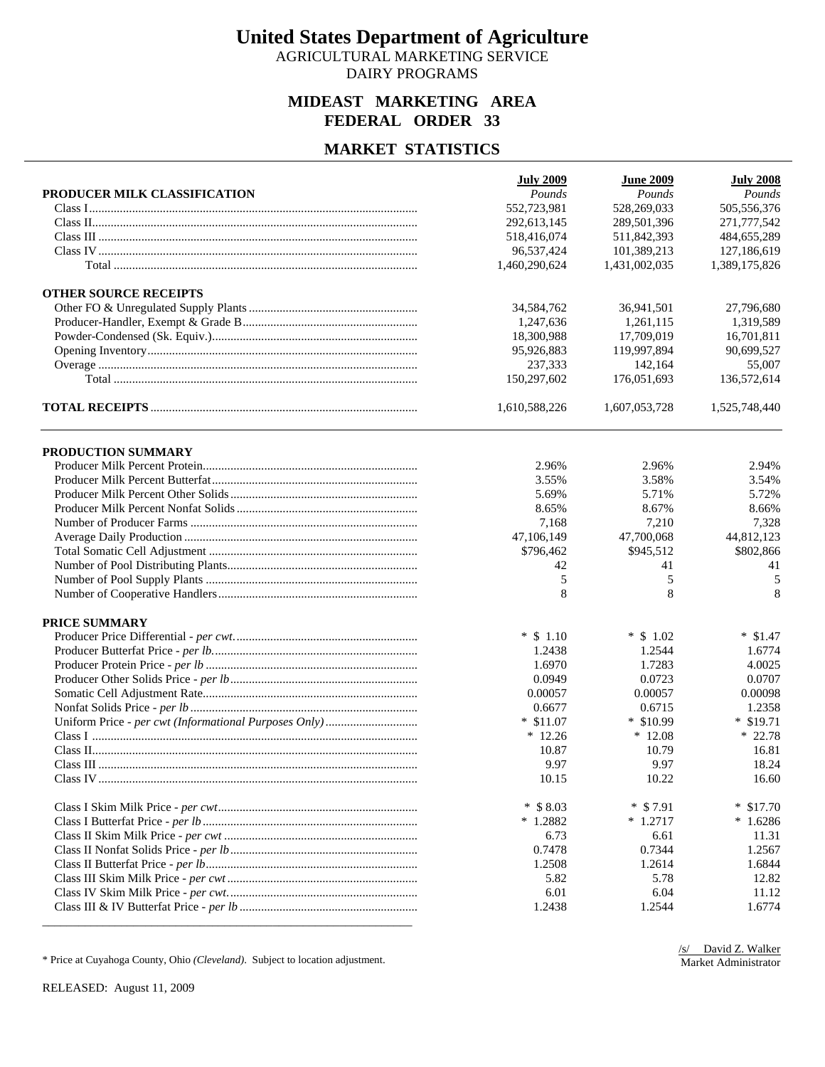AGRICULTURAL MARKETING SERVICE DAIRY PROGRAMS

### **MIDEAST MARKETING AREA FEDERAL ORDER 33**

## **MARKET STATISTICS**

|                              | <b>July 2009</b> | <b>June 2009</b> | <b>July 2008</b> |
|------------------------------|------------------|------------------|------------------|
| PRODUCER MILK CLASSIFICATION | Pounds           | Pounds           | Pounds           |
|                              | 552,723,981      | 528,269,033      | 505,556,376      |
|                              | 292,613,145      | 289,501,396      | 271,777,542      |
|                              | 518,416,074      | 511,842,393      | 484,655,289      |
|                              | 96,537,424       | 101,389,213      | 127,186,619      |
|                              | 1,460,290,624    | 1,431,002,035    | 1,389,175,826    |
| <b>OTHER SOURCE RECEIPTS</b> |                  |                  |                  |
|                              | 34,584,762       | 36,941,501       | 27,796,680       |
|                              | 1,247,636        | 1,261,115        | 1,319,589        |
|                              | 18,300,988       | 17,709,019       | 16,701,811       |
|                              | 95,926,883       | 119,997,894      | 90,699,527       |
|                              | 237,333          | 142,164          | 55,007           |
|                              | 150,297,602      | 176,051,693      | 136,572,614      |
|                              | 1,610,588,226    | 1,607,053,728    | 1,525,748,440    |
| PRODUCTION SUMMARY           |                  |                  |                  |
|                              | 2.96%            | 2.96%            | 2.94%            |
|                              | 3.55%            | 3.58%            | 3.54%            |
|                              | 5.69%            | 5.71%            | 5.72%            |
|                              | 8.65%            | 8.67%            | 8.66%            |
|                              | 7,168            | 7,210            | 7,328            |
|                              | 47,106,149       | 47,700,068       | 44,812,123       |
|                              | \$796,462        | \$945,512        | \$802,866        |
|                              | 42               | 41               | 41               |
|                              | 5                | 5                | 5                |
|                              | 8                | 8                | 8                |
| <b>PRICE SUMMARY</b>         |                  |                  |                  |
|                              | $*$ \$ 1.10      | $*$ \$ 1.02      | $*$ \$1.47       |
|                              | 1.2438           | 1.2544           | 1.6774           |
|                              | 1.6970           | 1.7283           | 4.0025           |
|                              | 0.0949           | 0.0723           | 0.0707           |
|                              | 0.00057          | 0.00057          | 0.00098          |
|                              | 0.6677           | 0.6715           | 1.2358           |
|                              | $*$ \$11.07      | $*$ \$10.99      | $*$ \$19.71      |
|                              | $*12.26$         | $*12.08$         | $* 22.78$        |
|                              | 10.87            | 10.79            | 16.81            |
|                              | 9.97             | 9.97             | 18.24            |
|                              | 10.15            | 10.22            | 16.60            |
|                              | $*$ \$ 8.03      | $*$ \$7.91       | $*$ \$17.70      |
|                              | $*1.2882$        | $* 1.2717$       | $*1.6286$        |
|                              | 6.73             | 6.61             | 11.31            |
|                              | 0.7478           | 0.7344           | 1.2567           |
|                              | 1.2508           | 1.2614           | 1.6844           |
|                              | 5.82             | 5.78             | 12.82            |
|                              | 6.01             | 6.04             | 11.12            |
|                              | 1.2438           | 1.2544           | 1.6774           |

\* Price at Cuyahoga County, Ohio *(Cleveland)*. Subject to location adjustment.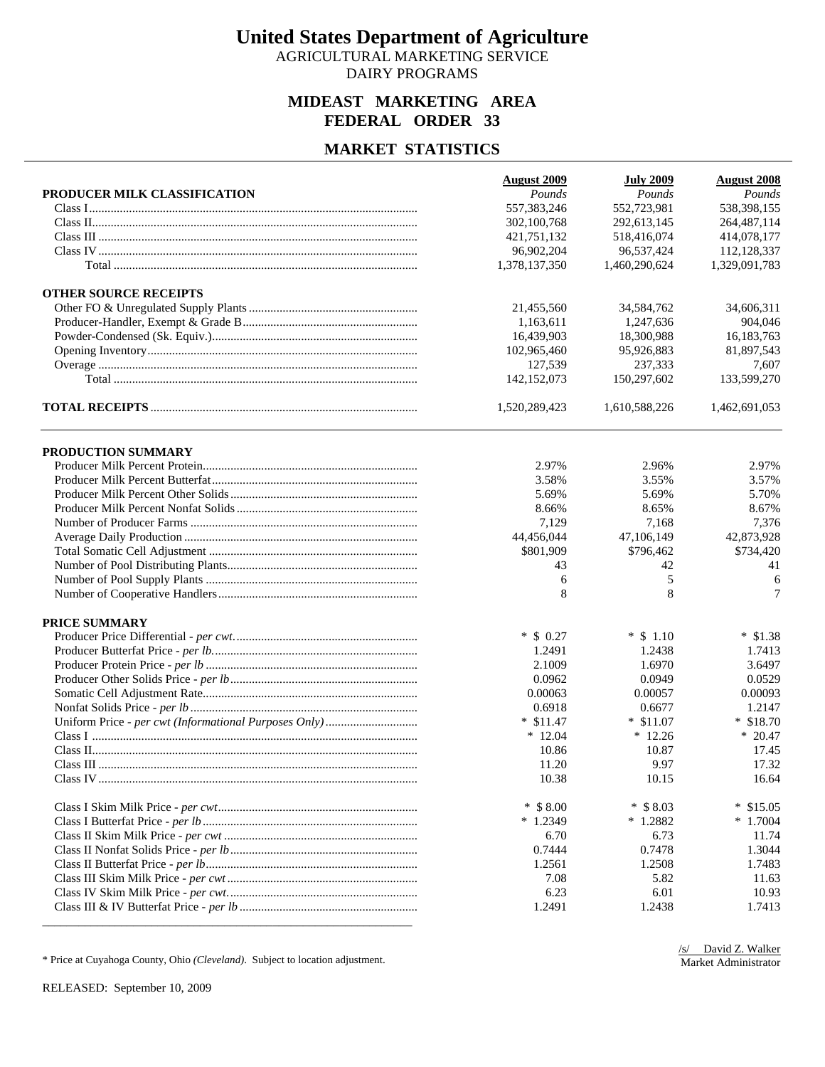AGRICULTURAL MARKETING SERVICE DAIRY PROGRAMS

### **MIDEAST MARKETING AREA FEDERAL ORDER 33**

## **MARKET STATISTICS**

|                              | <b>August 2009</b> | <b>July 2009</b> | <b>August 2008</b> |
|------------------------------|--------------------|------------------|--------------------|
| PRODUCER MILK CLASSIFICATION | Pounds             | Pounds           | Pounds             |
|                              | 557,383,246        | 552,723,981      | 538,398,155        |
|                              | 302,100,768        | 292,613,145      | 264, 487, 114      |
|                              | 421,751,132        | 518,416,074      | 414,078,177        |
|                              | 96,902,204         | 96,537,424       | 112,128,337        |
|                              | 1,378,137,350      | 1,460,290,624    | 1,329,091,783      |
| <b>OTHER SOURCE RECEIPTS</b> |                    |                  |                    |
|                              | 21,455,560         | 34,584,762       | 34,606,311         |
|                              | 1,163,611          | 1,247,636        | 904,046            |
|                              | 16,439,903         | 18,300,988       | 16,183,763         |
|                              | 102,965,460        | 95,926,883       | 81,897,543         |
|                              | 127,539            | 237,333          | 7,607              |
|                              | 142,152,073        | 150,297,602      | 133,599,270        |
|                              | 1,520,289,423      | 1,610,588,226    | 1,462,691,053      |
| PRODUCTION SUMMARY           |                    |                  |                    |
|                              | 2.97%              | 2.96%            | 2.97%              |
|                              | 3.58%              | 3.55%            | 3.57%              |
|                              | 5.69%              | 5.69%            | 5.70%              |
|                              | 8.66%              | 8.65%            | 8.67%              |
|                              | 7,129              | 7,168            | 7,376              |
|                              | 44,456,044         | 47,106,149       | 42,873,928         |
|                              | \$801,909          | \$796,462        | \$734,420          |
|                              | 43                 | 42               | 41                 |
|                              | 6                  | 5                | 6                  |
|                              | 8                  | 8                | 7                  |
| <b>PRICE SUMMARY</b>         |                    |                  |                    |
|                              | $*$ \$ 0.27        | $*$ \$ 1.10      | $*$ \$1.38         |
|                              | 1.2491             | 1.2438           | 1.7413             |
|                              | 2.1009             | 1.6970           | 3.6497             |
|                              | 0.0962             | 0.0949           | 0.0529             |
|                              | 0.00063            | 0.00057          | 0.00093            |
|                              | 0.6918             | 0.6677           | 1.2147             |
|                              | $*$ \$11.47        | $*$ \$11.07      | $*$ \$18.70        |
|                              | $*12.04$           | $*12.26$         | $* 20.47$          |
|                              | 10.86              | 10.87            | 17.45              |
|                              | 11.20              | 9.97             | 17.32              |
|                              | 10.38              | 10.15            | 16.64              |
|                              | $*$ \$ 8.00        | $*$ \$ 8.03      | *<br>\$15.05       |
|                              | $*1.2349$          | $*1.2882$        | $*1.7004$          |
|                              | 6.70               | 6.73             | 11.74              |
|                              | 0.7444             | 0.7478           | 1.3044             |
|                              | 1.2561             | 1.2508           | 1.7483             |
|                              | 7.08               | 5.82             | 11.63              |
|                              | 6.23               | 6.01             | 10.93              |
|                              | 1.2491             | 1.2438           | 1.7413             |

\* Price at Cuyahoga County, Ohio *(Cleveland)*. Subject to location adjustment.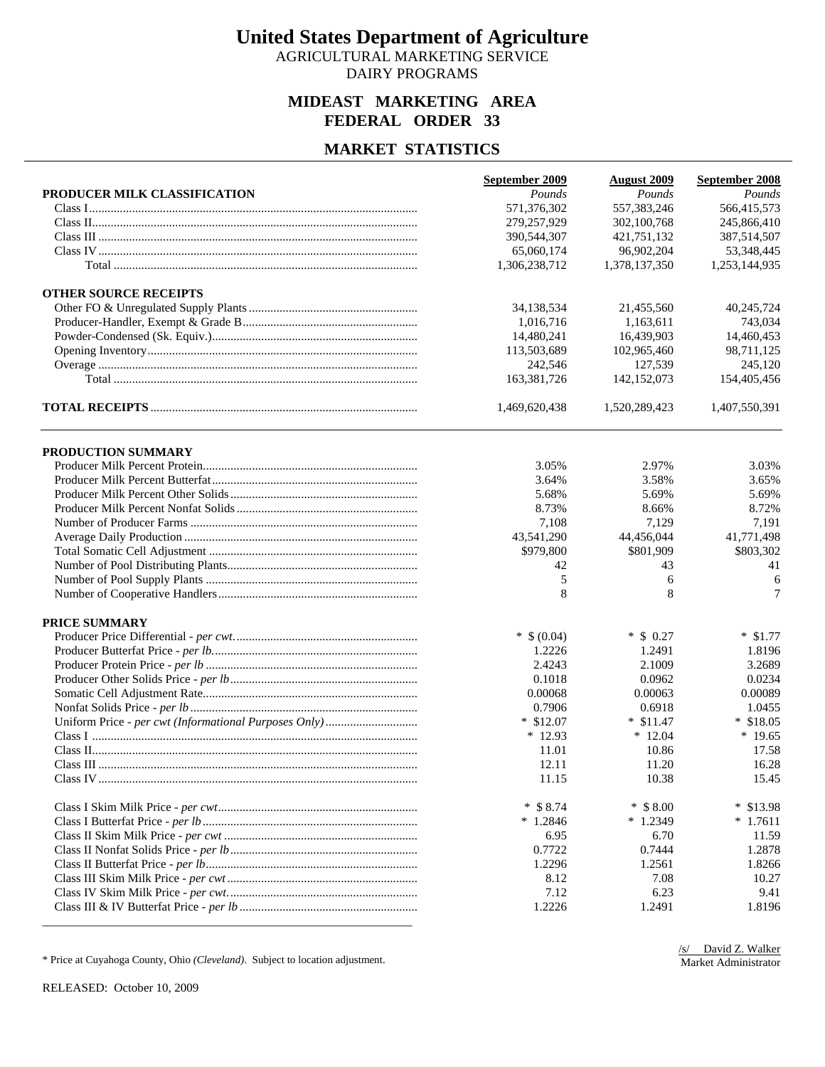AGRICULTURAL MARKETING SERVICE DAIRY PROGRAMS

### **MIDEAST MARKETING AREA FEDERAL ORDER 33**

## **MARKET STATISTICS**

|                              | September 2009 | <b>August 2009</b> | September 2008 |
|------------------------------|----------------|--------------------|----------------|
| PRODUCER MILK CLASSIFICATION | Pounds         | Pounds             | Pounds         |
|                              | 571,376,302    | 557, 383, 246      | 566,415,573    |
|                              | 279,257,929    | 302,100,768        | 245,866,410    |
|                              | 390,544,307    | 421,751,132        | 387,514,507    |
|                              | 65,060,174     | 96,902,204         | 53,348,445     |
|                              | 1,306,238,712  | 1,378,137,350      | 1,253,144,935  |
| <b>OTHER SOURCE RECEIPTS</b> |                |                    |                |
|                              | 34,138,534     | 21,455,560         | 40,245,724     |
|                              | 1,016,716      | 1.163.611          | 743,034        |
|                              | 14,480,241     | 16,439,903         | 14,460,453     |
|                              | 113,503,689    | 102,965,460        | 98,711,125     |
|                              | 242,546        | 127,539            | 245,120        |
|                              | 163,381,726    | 142,152,073        | 154,405,456    |
|                              | 1,469,620,438  | 1,520,289,423      | 1,407,550,391  |
| PRODUCTION SUMMARY           |                |                    |                |
|                              | 3.05%          | 2.97%              | 3.03%          |
|                              | 3.64%          | 3.58%              | 3.65%          |
|                              | 5.68%          | 5.69%              | 5.69%          |
|                              | 8.73%          | 8.66%              | 8.72%          |
|                              | 7,108          | 7,129              | 7,191          |
|                              | 43,541,290     | 44,456,044         | 41,771,498     |
|                              | \$979,800      | \$801,909          | \$803,302      |
|                              | 42             | 43                 | 41             |
|                              | 5              | 6                  | 6              |
|                              | 8              | 8                  | 7              |
| <b>PRICE SUMMARY</b>         |                |                    |                |
|                              | $*$ \$ (0.04)  | $*$ \$ 0.27        | $*$ \$1.77     |
|                              | 1.2226         | 1.2491             | 1.8196         |
|                              | 2.4243         | 2.1009             | 3.2689         |
|                              | 0.1018         | 0.0962             | 0.0234         |
|                              | 0.00068        | 0.00063            | 0.00089        |
|                              | 0.7906         | 0.6918             | 1.0455         |
|                              | $*$ \$12.07    | $*$ \$11.47        | $*$ \$18.05    |
|                              | $*12.93$       | $*12.04$           | $*19.65$       |
|                              | 11.01          | 10.86              | 17.58          |
|                              | 12.11          | 11.20              | 16.28          |
|                              | 11.15          | 10.38              | 15.45          |
|                              | $*$ \$ 8.74    | $*$ \$ 8.00        | * \$13.98      |
|                              | $*1.2846$      | $*1.2349$          | $*1.7611$      |
|                              | 6.95           | 6.70               | 11.59          |
|                              | 0.7722         | 0.7444             | 1.2878         |
|                              | 1.2296         | 1.2561             | 1.8266         |
|                              | 8.12           | 7.08               | 10.27          |
|                              | 7.12           | 6.23               | 9.41           |
|                              | 1.2226         | 1.2491             | 1.8196         |

\* Price at Cuyahoga County, Ohio *(Cleveland)*. Subject to location adjustment.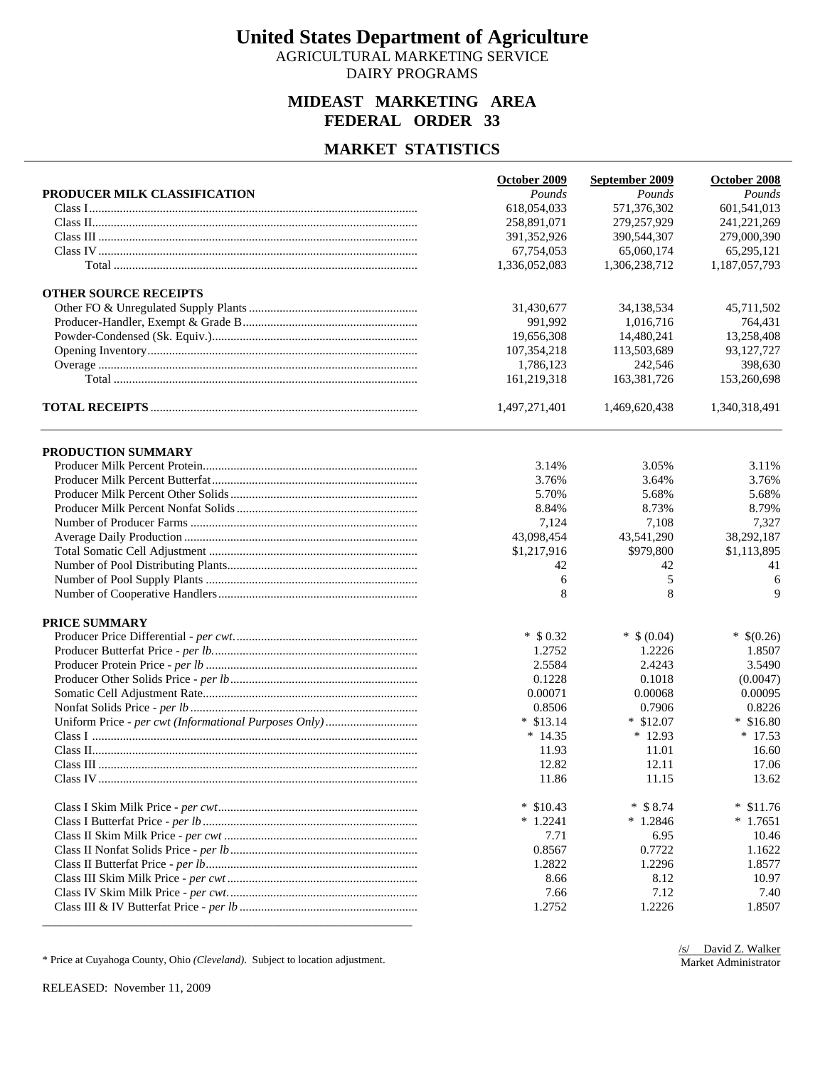AGRICULTURAL MARKETING SERVICE DAIRY PROGRAMS

### **MIDEAST MARKETING AREA FEDERAL ORDER 33**

## **MARKET STATISTICS**

|                              | October 2009  | September 2009 | October 2008  |
|------------------------------|---------------|----------------|---------------|
| PRODUCER MILK CLASSIFICATION | Pounds        | Pounds         | Pounds        |
|                              | 618,054,033   | 571,376,302    | 601,541,013   |
|                              | 258,891,071   | 279,257,929    | 241,221,269   |
|                              | 391, 352, 926 | 390,544,307    | 279,000,390   |
|                              | 67,754,053    | 65,060,174     | 65,295,121    |
|                              | 1,336,052,083 | 1,306,238,712  | 1,187,057,793 |
| <b>OTHER SOURCE RECEIPTS</b> |               |                |               |
|                              | 31,430,677    | 34,138,534     | 45,711,502    |
|                              | 991,992       | 1,016,716      | 764,431       |
|                              | 19,656,308    | 14,480,241     | 13,258,408    |
|                              | 107,354,218   | 113,503,689    | 93,127,727    |
|                              | 1,786,123     | 242,546        | 398,630       |
|                              | 161,219,318   | 163,381,726    | 153,260,698   |
|                              | 1,497,271,401 | 1,469,620,438  | 1,340,318,491 |
| PRODUCTION SUMMARY           |               |                |               |
|                              | 3.14%         | 3.05%          | 3.11%         |
|                              | 3.76%         | 3.64%          | 3.76%         |
|                              | 5.70%         | 5.68%          | 5.68%         |
|                              | 8.84%         | 8.73%          | 8.79%         |
|                              | 7,124         | 7,108          | 7,327         |
|                              | 43,098,454    | 43,541,290     | 38,292,187    |
|                              | \$1,217,916   | \$979,800      | \$1,113,895   |
|                              | 42            | 42             | 41            |
|                              | 6             | 5              | 6             |
|                              | 8             | 8              | 9             |
| <b>PRICE SUMMARY</b>         |               |                |               |
|                              | $*$ \$ 0.32   | $*$ \$ (0.04)  | $*$ \$(0.26)  |
|                              | 1.2752        | 1.2226         | 1.8507        |
|                              | 2.5584        | 2.4243         | 3.5490        |
|                              | 0.1228        | 0.1018         | (0.0047)      |
|                              | 0.00071       | 0.00068        | 0.00095       |
|                              | 0.8506        | 0.7906         | 0.8226        |
|                              | $*$ \$13.14   | $*$ \$12.07    | $*$ \$16.80   |
|                              | $*14.35$      | $*12.93$       | $* 17.53$     |
|                              | 11.93         | 11.01          | 16.60         |
|                              | 12.82         | 12.11          | 17.06         |
|                              | 11.86         | 11.15          | 13.62         |
|                              | $*$ \$10.43   | $*$ \$ 8.74    | $*$ \$11.76   |
|                              | $*1.2241$     | $*1.2846$      | $*1.7651$     |
|                              | 7.71          | 6.95           | 10.46         |
|                              | 0.8567        | 0.7722         | 1.1622        |
|                              | 1.2822        | 1.2296         | 1.8577        |
|                              | 8.66          | 8.12           | 10.97         |
|                              | 7.66          | 7.12           | 7.40          |
|                              | 1.2752        | 1.2226         | 1.8507        |

\* Price at Cuyahoga County, Ohio *(Cleveland)*. Subject to location adjustment.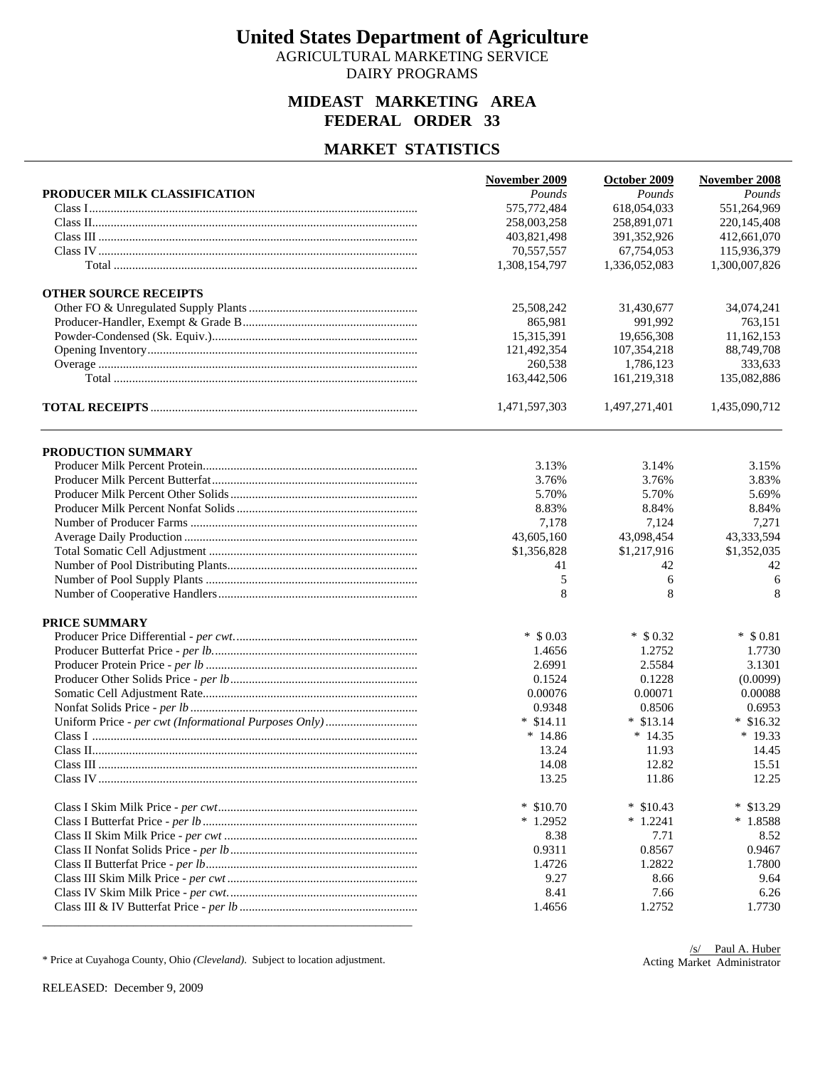AGRICULTURAL MARKETING SERVICE DAIRY PROGRAMS

### **MIDEAST MARKETING AREA FEDERAL ORDER 33**

## **MARKET STATISTICS**

|                              | November 2009 | October 2009  | November 2008 |
|------------------------------|---------------|---------------|---------------|
| PRODUCER MILK CLASSIFICATION | Pounds        | Pounds        | Pounds        |
|                              | 575,772,484   | 618,054,033   | 551,264,969   |
|                              | 258,003,258   | 258,891,071   | 220, 145, 408 |
|                              | 403,821,498   | 391, 352, 926 | 412,661,070   |
|                              | 70,557,557    | 67,754,053    | 115,936,379   |
|                              | 1,308,154,797 | 1,336,052,083 | 1,300,007,826 |
| <b>OTHER SOURCE RECEIPTS</b> |               |               |               |
|                              | 25,508,242    | 31,430,677    | 34,074,241    |
|                              | 865,981       | 991,992       | 763,151       |
|                              | 15,315,391    | 19,656,308    | 11,162,153    |
|                              | 121,492,354   | 107,354,218   | 88,749,708    |
|                              | 260,538       | 1,786,123     | 333,633       |
|                              | 163,442,506   | 161,219,318   | 135,082,886   |
|                              | 1,471,597,303 | 1,497,271,401 | 1,435,090,712 |
| PRODUCTION SUMMARY           |               |               |               |
|                              | 3.13%         | 3.14%         | 3.15%         |
|                              | 3.76%         | 3.76%         | 3.83%         |
|                              | 5.70%         | 5.70%         | 5.69%         |
|                              | 8.83%         | 8.84%         | 8.84%         |
|                              | 7,178         | 7,124         | 7,271         |
|                              | 43,605,160    | 43,098,454    | 43,333,594    |
|                              | \$1,356,828   | \$1,217,916   | \$1,352,035   |
|                              | 41            | 42            | 42            |
|                              | 5             | 6             | 6             |
|                              | 8             | 8             | 8             |
| <b>PRICE SUMMARY</b>         |               |               |               |
|                              | $*$ \$ 0.03   | $*$ \$ 0.32   | $*$ \$ 0.81   |
|                              | 1.4656        | 1.2752        | 1.7730        |
|                              | 2.6991        | 2.5584        | 3.1301        |
|                              | 0.1524        | 0.1228        | (0.0099)      |
|                              | 0.00076       | 0.00071       | 0.00088       |
|                              | 0.9348        | 0.8506        | 0.6953        |
|                              | $*$ \$14.11   | $*$ \$13.14   | $*$ \$16.32   |
|                              | $*14.86$      | $*14.35$      | $*19.33$      |
|                              | 13.24         | 11.93         | 14.45         |
|                              | 14.08         | 12.82         | 15.51         |
|                              | 13.25         | 11.86         | 12.25         |
|                              | $*$ \$10.70   | $*$ \$10.43   | $*$ \$13.29   |
|                              | $*1.2952$     | $*1.2241$     | $*1.8588$     |
|                              | 8.38          | 7.71          | 8.52          |
|                              | 0.9311        | 0.8567        | 0.9467        |
|                              | 1.4726        | 1.2822        | 1.7800        |
|                              | 9.27          | 8.66          | 9.64          |
|                              | 8.41          | 7.66          | 6.26          |
|                              | 1.4656        | 1.2752        | 1.7730        |

\* Price at Cuyahoga County, Ohio *(Cleveland)*. Subject to location adjustment.

Acting Market Administrator/s/ Paul A. Huber